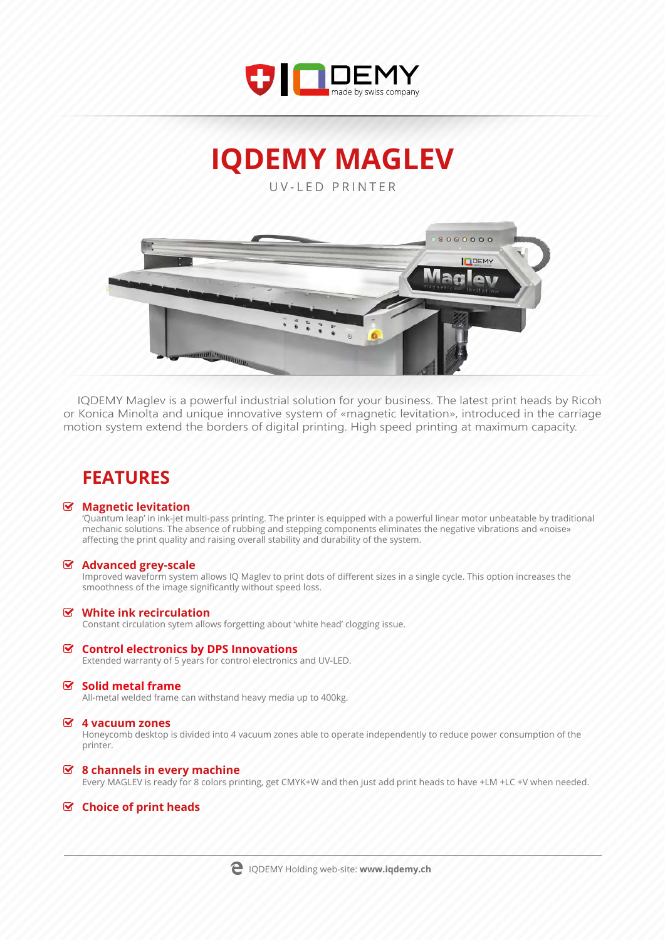

**IQDEMY MAGLEV**

UV-LED PRINTER



IQDEMY Maglev is a powerful industrial solution for your business. The latest print heads by Ricoh or Konica Minolta and unique innovative system of «magnetic levitation», introduced in the carriage motion system extend the borders of digital printing. High speed printing at maximum capacity.

# **FEATURES**

#### **Magnetic levitation**

'Quantum leap' in ink-jet multi-pass printing. The printer is equipped with a powerful linear motor unbeatable by traditional mechanic solutions. The absence of rubbing and stepping components eliminates the negative vibrations and «noise» affecting the print quality and raising overall stability and durability of the system.

#### **Advanced grey-scale**

Improved waveform system allows IQ Maglev to print dots of different sizes in a single cycle. This option increases the smoothness of the image significantly without speed loss.

#### **White ink recirculation**

Constant circulation sytem allows forgetting about 'white head' clogging issue.

#### **Control electronics by DPS Innovations**

Extended warranty of 5 years for control electronics and UV-LED.

#### **Solid metal frame**

All-metal welded frame can withstand heavy media up to 400kg.

#### **4 vacuum zones**

Honeycomb desktop is divided into 4 vacuum zones able to operate independently to reduce power consumption of the printer.

#### **8 channels in every machine**

Every MAGLEV is ready for 8 colors printing, get CMYK+W and then just add print heads to have +LM +LC +V when needed.

### **Choice of print heads**